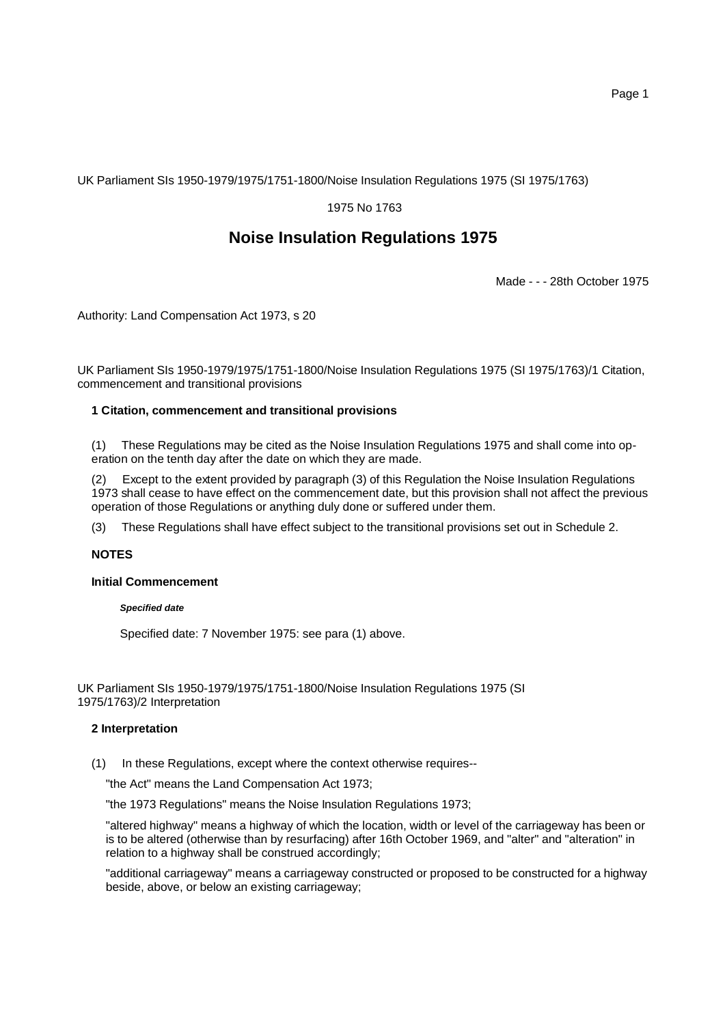UK Parliament SIs 1950-1979/1975/1751-1800/Noise Insulation Regulations 1975 (SI 1975/1763)

# 1975 No 1763

# **Noise Insulation Regulations 1975**

Made - - - 28th October 1975

Authority: Land Compensation Act 1973, s 20

UK Parliament SIs 1950-1979/1975/1751-1800/Noise Insulation Regulations 1975 (SI 1975/1763)/1 Citation, commencement and transitional provisions

### **1 Citation, commencement and transitional provisions**

(1) These Regulations may be cited as the Noise Insulation Regulations 1975 and shall come into operation on the tenth day after the date on which they are made.

Except to the extent provided by paragraph (3) of this Regulation the Noise Insulation Regulations 1973 shall cease to have effect on the commencement date, but this provision shall not affect the previous operation of those Regulations or anything duly done or suffered under them.

(3) These Regulations shall have effect subject to the transitional provisions set out in Schedule 2.

# **NOTES**

# **Initial Commencement**

#### *Specified date*

Specified date: 7 November 1975: see para (1) above.

UK Parliament SIs 1950-1979/1975/1751-1800/Noise Insulation Regulations 1975 (SI 1975/1763)/2 Interpretation

### **2 Interpretation**

(1) In these Regulations, except where the context otherwise requires--

"the Act" means the Land Compensation Act 1973;

"the 1973 Regulations" means the Noise Insulation Regulations 1973;

"altered highway" means a highway of which the location, width or level of the carriageway has been or is to be altered (otherwise than by resurfacing) after 16th October 1969, and "alter" and "alteration" in relation to a highway shall be construed accordingly;

"additional carriageway" means a carriageway constructed or proposed to be constructed for a highway beside, above, or below an existing carriageway;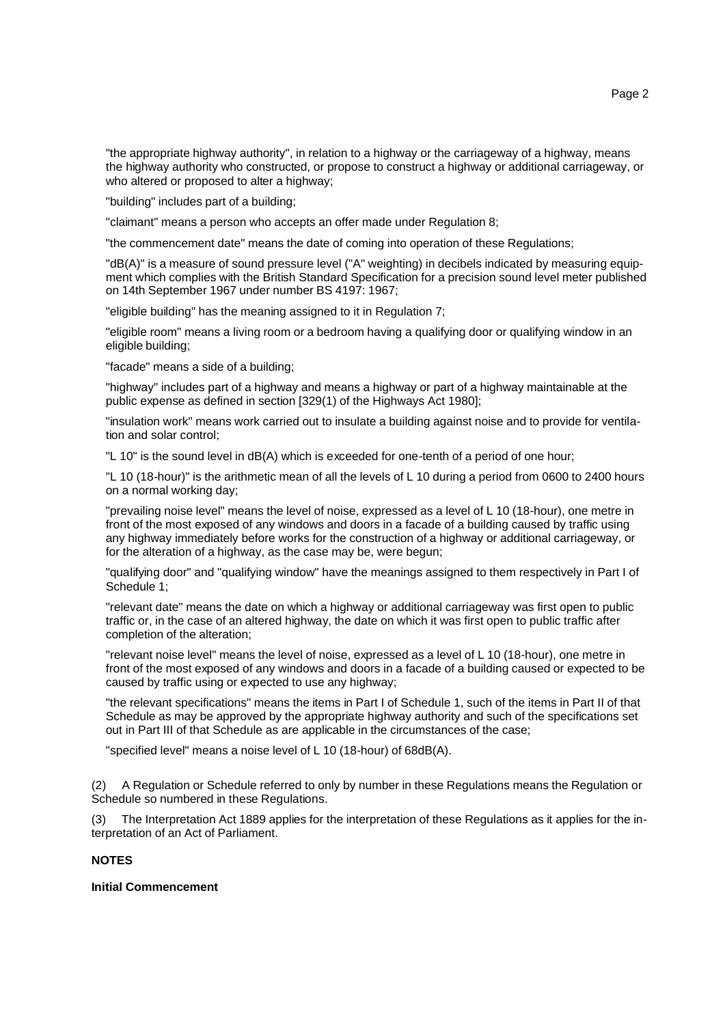"the appropriate highway authority", in relation to a highway or the carriageway of a highway, means the highway authority who constructed, or propose to construct a highway or additional carriageway, or who altered or proposed to alter a highway;

"building" includes part of a building;

"claimant" means a person who accepts an offer made under Regulation 8;

"the commencement date" means the date of coming into operation of these Regulations;

"dB(A)" is a measure of sound pressure level ("A" weighting) in decibels indicated by measuring equipment which complies with the British Standard Specification for a precision sound level meter published on 14th September 1967 under number BS 4197: 1967;

"eligible building" has the meaning assigned to it in Regulation 7;

"eligible room" means a living room or a bedroom having a qualifying door or qualifying window in an eligible building;

"facade" means a side of a building;

"highway" includes part of a highway and means a highway or part of a highway maintainable at the public expense as defined in section [329(1) of the Highways Act 1980];

"insulation work" means work carried out to insulate a building against noise and to provide for ventilation and solar control;

"L 10" is the sound level in dB(A) which is exceeded for one-tenth of a period of one hour;

"L 10 (18-hour)" is the arithmetic mean of all the levels of L 10 during a period from 0600 to 2400 hours on a normal working day;

"prevailing noise level" means the level of noise, expressed as a level of L 10 (18-hour), one metre in front of the most exposed of any windows and doors in a facade of a building caused by traffic using any highway immediately before works for the construction of a highway or additional carriageway, or for the alteration of a highway, as the case may be, were begun;

"qualifying door" and "qualifying window" have the meanings assigned to them respectively in Part I of Schedule 1;

"relevant date" means the date on which a highway or additional carriageway was first open to public traffic or, in the case of an altered highway, the date on which it was first open to public traffic after completion of the alteration;

"relevant noise level" means the level of noise, expressed as a level of L 10 (18-hour), one metre in front of the most exposed of any windows and doors in a facade of a building caused or expected to be caused by traffic using or expected to use any highway;

"the relevant specifications" means the items in Part I of Schedule 1, such of the items in Part II of that Schedule as may be approved by the appropriate highway authority and such of the specifications set out in Part III of that Schedule as are applicable in the circumstances of the case;

"specified level" means a noise level of L 10 (18-hour) of 68dB(A).

(2) A Regulation or Schedule referred to only by number in these Regulations means the Regulation or Schedule so numbered in these Regulations.

(3) The Interpretation Act 1889 applies for the interpretation of these Regulations as it applies for the interpretation of an Act of Parliament.

# **NOTES**

### **Initial Commencement**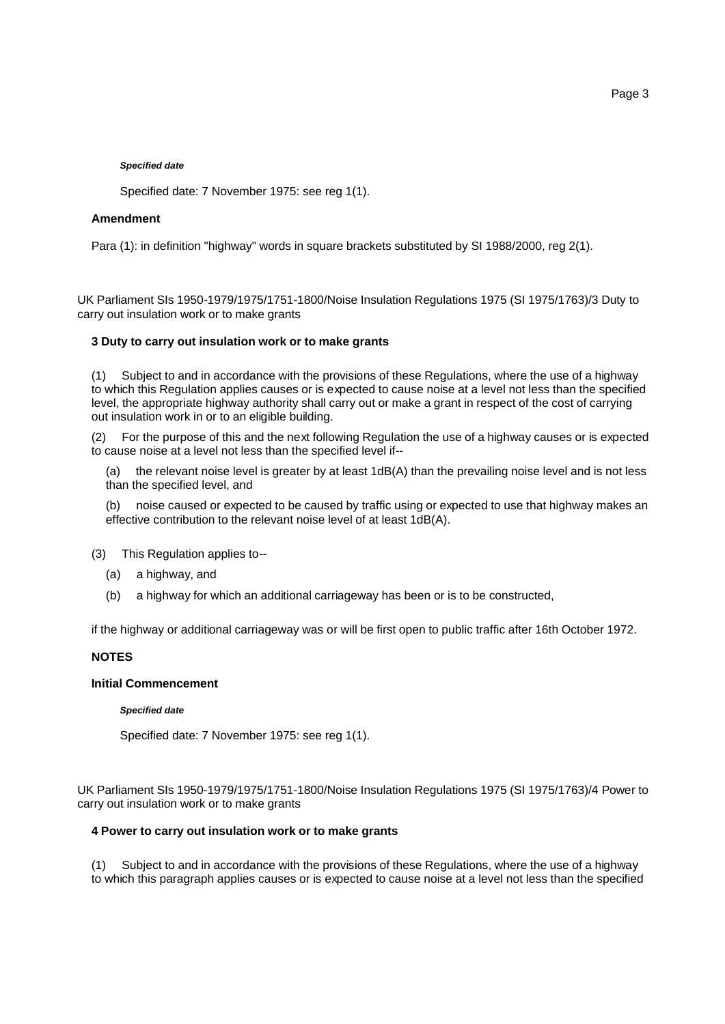Specified date: 7 November 1975: see reg 1(1).

# **Amendment**

Para (1): in definition "highway" words in square brackets substituted by SI 1988/2000, reg 2(1).

UK Parliament SIs 1950-1979/1975/1751-1800/Noise Insulation Regulations 1975 (SI 1975/1763)/3 Duty to carry out insulation work or to make grants

# **3 Duty to carry out insulation work or to make grants**

(1) Subject to and in accordance with the provisions of these Regulations, where the use of a highway to which this Regulation applies causes or is expected to cause noise at a level not less than the specified level, the appropriate highway authority shall carry out or make a grant in respect of the cost of carrying out insulation work in or to an eligible building.

(2) For the purpose of this and the next following Regulation the use of a highway causes or is expected to cause noise at a level not less than the specified level if--

(a) the relevant noise level is greater by at least 1dB(A) than the prevailing noise level and is not less than the specified level, and

(b) noise caused or expected to be caused by traffic using or expected to use that highway makes an effective contribution to the relevant noise level of at least 1dB(A).

(3) This Regulation applies to--

- (a) a highway, and
- (b) a highway for which an additional carriageway has been or is to be constructed,

if the highway or additional carriageway was or will be first open to public traffic after 16th October 1972.

# **NOTES**

# **Initial Commencement**

#### *Specified date*

Specified date: 7 November 1975: see reg 1(1).

UK Parliament SIs 1950-1979/1975/1751-1800/Noise Insulation Regulations 1975 (SI 1975/1763)/4 Power to carry out insulation work or to make grants

# **4 Power to carry out insulation work or to make grants**

(1) Subject to and in accordance with the provisions of these Regulations, where the use of a highway to which this paragraph applies causes or is expected to cause noise at a level not less than the specified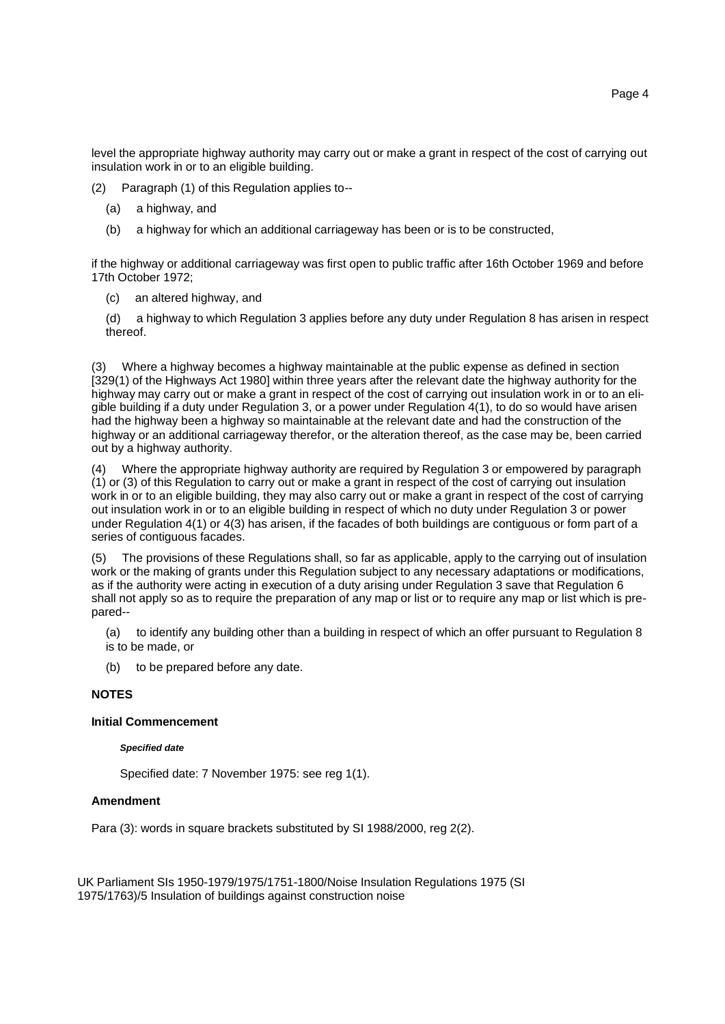level the appropriate highway authority may carry out or make a grant in respect of the cost of carrying out insulation work in or to an eligible building.

(2) Paragraph (1) of this Regulation applies to--

- (a) a highway, and
- (b) a highway for which an additional carriageway has been or is to be constructed,

if the highway or additional carriageway was first open to public traffic after 16th October 1969 and before 17th October 1972;

(c) an altered highway, and

(d) a highway to which Regulation 3 applies before any duty under Regulation 8 has arisen in respect thereof.

Where a highway becomes a highway maintainable at the public expense as defined in section [329(1) of the Highways Act 1980] within three years after the relevant date the highway authority for the highway may carry out or make a grant in respect of the cost of carrying out insulation work in or to an eligible building if a duty under Regulation 3, or a power under Regulation 4(1), to do so would have arisen had the highway been a highway so maintainable at the relevant date and had the construction of the highway or an additional carriageway therefor, or the alteration thereof, as the case may be, been carried out by a highway authority.

(4) Where the appropriate highway authority are required by Regulation 3 or empowered by paragraph (1) or (3) of this Regulation to carry out or make a grant in respect of the cost of carrying out insulation work in or to an eligible building, they may also carry out or make a grant in respect of the cost of carrying out insulation work in or to an eligible building in respect of which no duty under Regulation 3 or power under Regulation 4(1) or 4(3) has arisen, if the facades of both buildings are contiguous or form part of a series of contiguous facades.

(5) The provisions of these Regulations shall, so far as applicable, apply to the carrying out of insulation work or the making of grants under this Regulation subject to any necessary adaptations or modifications, as if the authority were acting in execution of a duty arising under Regulation 3 save that Regulation 6 shall not apply so as to require the preparation of any map or list or to require any map or list which is prepared--

(a) to identify any building other than a building in respect of which an offer pursuant to Regulation 8 is to be made, or

(b) to be prepared before any date.

#### **NOTES**

### **Initial Commencement**

#### *Specified date*

Specified date: 7 November 1975: see reg 1(1).

### **Amendment**

Para (3): words in square brackets substituted by SI 1988/2000, reg 2(2).

UK Parliament SIs 1950-1979/1975/1751-1800/Noise Insulation Regulations 1975 (SI 1975/1763)/5 Insulation of buildings against construction noise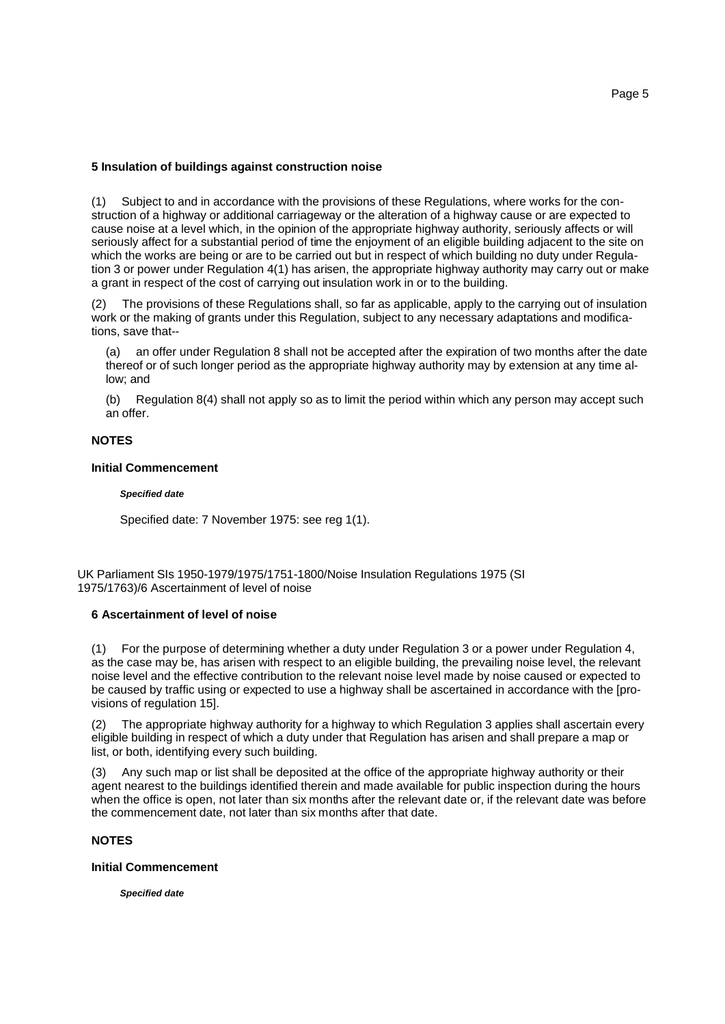### **5 Insulation of buildings against construction noise**

(1) Subject to and in accordance with the provisions of these Regulations, where works for the construction of a highway or additional carriageway or the alteration of a highway cause or are expected to cause noise at a level which, in the opinion of the appropriate highway authority, seriously affects or will seriously affect for a substantial period of time the enjoyment of an eligible building adjacent to the site on which the works are being or are to be carried out but in respect of which building no duty under Regulation 3 or power under Regulation 4(1) has arisen, the appropriate highway authority may carry out or make a grant in respect of the cost of carrying out insulation work in or to the building.

(2) The provisions of these Regulations shall, so far as applicable, apply to the carrying out of insulation work or the making of grants under this Regulation, subject to any necessary adaptations and modifications, save that--

(a) an offer under Regulation 8 shall not be accepted after the expiration of two months after the date thereof or of such longer period as the appropriate highway authority may by extension at any time allow; and

(b) Regulation 8(4) shall not apply so as to limit the period within which any person may accept such an offer.

### **NOTES**

#### **Initial Commencement**

#### *Specified date*

Specified date: 7 November 1975: see reg 1(1).

UK Parliament SIs 1950-1979/1975/1751-1800/Noise Insulation Regulations 1975 (SI 1975/1763)/6 Ascertainment of level of noise

### **6 Ascertainment of level of noise**

(1) For the purpose of determining whether a duty under Regulation 3 or a power under Regulation 4, as the case may be, has arisen with respect to an eligible building, the prevailing noise level, the relevant noise level and the effective contribution to the relevant noise level made by noise caused or expected to be caused by traffic using or expected to use a highway shall be ascertained in accordance with the [provisions of regulation 15].

(2) The appropriate highway authority for a highway to which Regulation 3 applies shall ascertain every eligible building in respect of which a duty under that Regulation has arisen and shall prepare a map or list, or both, identifying every such building.

(3) Any such map or list shall be deposited at the office of the appropriate highway authority or their agent nearest to the buildings identified therein and made available for public inspection during the hours when the office is open, not later than six months after the relevant date or, if the relevant date was before the commencement date, not later than six months after that date.

# **NOTES**

#### **Initial Commencement**

*Specified date*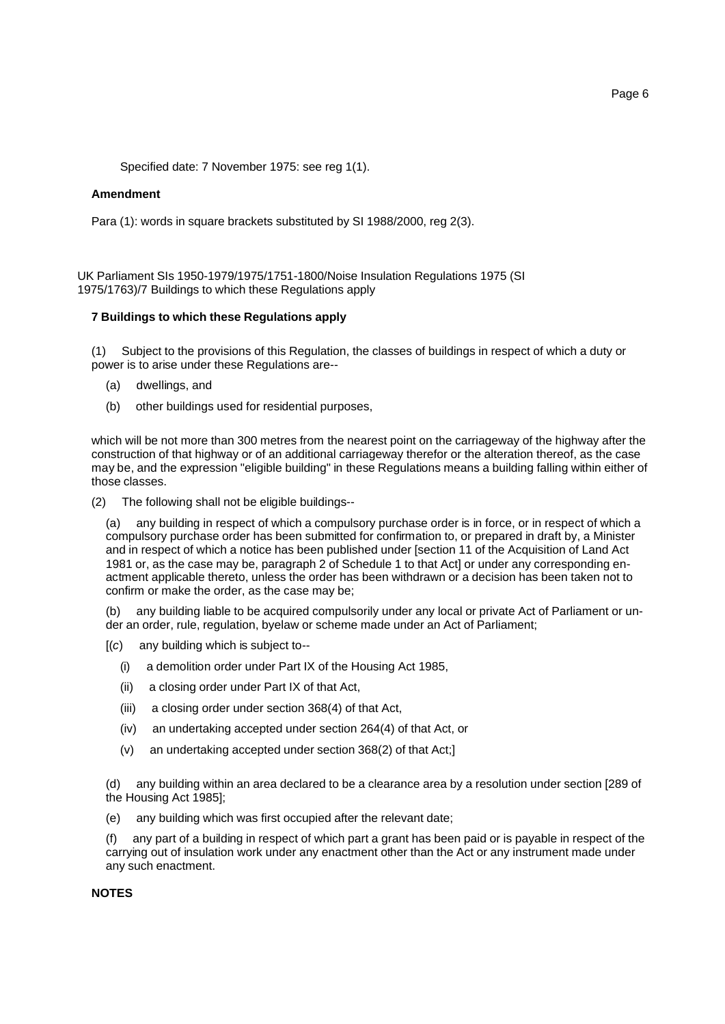Specified date: 7 November 1975: see reg 1(1).

### **Amendment**

Para (1): words in square brackets substituted by SI 1988/2000, reg 2(3).

UK Parliament SIs 1950-1979/1975/1751-1800/Noise Insulation Regulations 1975 (SI 1975/1763)/7 Buildings to which these Regulations apply

# **7 Buildings to which these Regulations apply**

(1) Subject to the provisions of this Regulation, the classes of buildings in respect of which a duty or power is to arise under these Regulations are--

- (a) dwellings, and
- (b) other buildings used for residential purposes,

which will be not more than 300 metres from the nearest point on the carriageway of the highway after the construction of that highway or of an additional carriageway therefor or the alteration thereof, as the case may be, and the expression "eligible building" in these Regulations means a building falling within either of those classes.

(2) The following shall not be eligible buildings--

(a) any building in respect of which a compulsory purchase order is in force, or in respect of which a compulsory purchase order has been submitted for confirmation to, or prepared in draft by, a Minister and in respect of which a notice has been published under [section 11 of the Acquisition of Land Act 1981 or, as the case may be, paragraph 2 of Schedule 1 to that Act] or under any corresponding enactment applicable thereto, unless the order has been withdrawn or a decision has been taken not to confirm or make the order, as the case may be;

(b) any building liable to be acquired compulsorily under any local or private Act of Parliament or under an order, rule, regulation, byelaw or scheme made under an Act of Parliament;

- [(*c*) any building which is subject to--
	- (i) a demolition order under Part IX of the Housing Act 1985,
	- (ii) a closing order under Part IX of that Act,
	- (iii) a closing order under section 368(4) of that Act,
	- (iv) an undertaking accepted under section 264(4) of that Act, or
	- (v) an undertaking accepted under section 368(2) of that Act;]

(d) any building within an area declared to be a clearance area by a resolution under section [289 of the Housing Act 1985];

(e) any building which was first occupied after the relevant date;

(f) any part of a building in respect of which part a grant has been paid or is payable in respect of the carrying out of insulation work under any enactment other than the Act or any instrument made under any such enactment.

### **NOTES**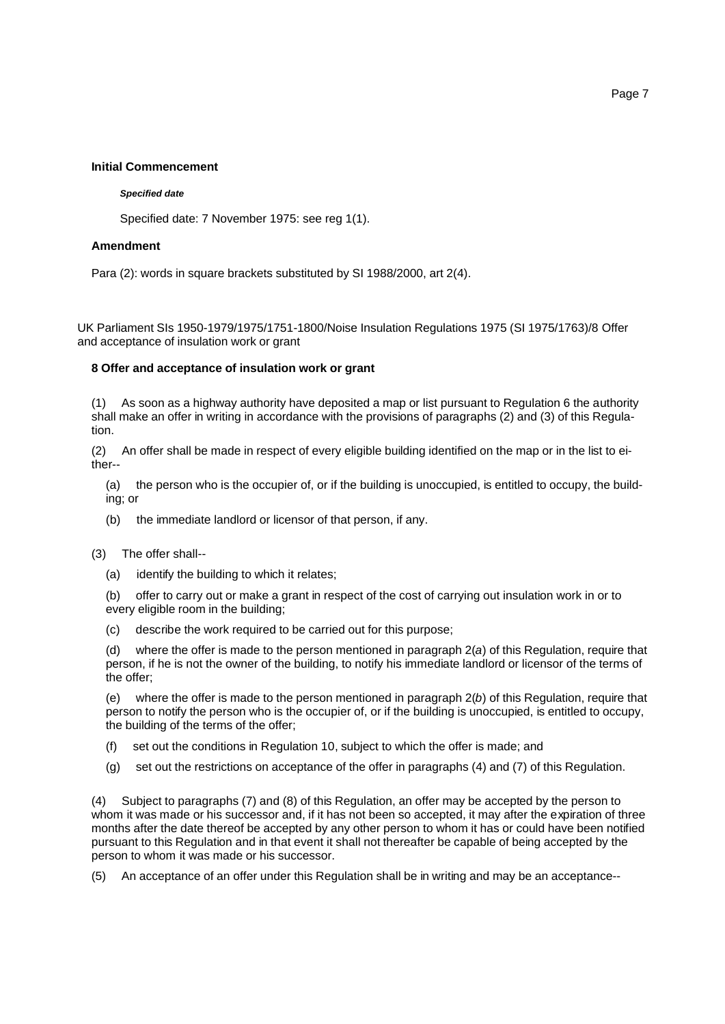### **Initial Commencement**

#### *Specified date*

Specified date: 7 November 1975: see reg 1(1).

# **Amendment**

Para (2): words in square brackets substituted by SI 1988/2000, art 2(4).

UK Parliament SIs 1950-1979/1975/1751-1800/Noise Insulation Regulations 1975 (SI 1975/1763)/8 Offer and acceptance of insulation work or grant

### **8 Offer and acceptance of insulation work or grant**

(1) As soon as a highway authority have deposited a map or list pursuant to Regulation 6 the authority shall make an offer in writing in accordance with the provisions of paragraphs (2) and (3) of this Regulation.

(2) An offer shall be made in respect of every eligible building identified on the map or in the list to either--

(a) the person who is the occupier of, or if the building is unoccupied, is entitled to occupy, the building; or

- (b) the immediate landlord or licensor of that person, if any.
- (3) The offer shall--
	- (a) identify the building to which it relates;

(b) offer to carry out or make a grant in respect of the cost of carrying out insulation work in or to every eligible room in the building;

(c) describe the work required to be carried out for this purpose;

(d) where the offer is made to the person mentioned in paragraph 2(*a*) of this Regulation, require that person, if he is not the owner of the building, to notify his immediate landlord or licensor of the terms of the offer;

(e) where the offer is made to the person mentioned in paragraph 2(*b*) of this Regulation, require that person to notify the person who is the occupier of, or if the building is unoccupied, is entitled to occupy, the building of the terms of the offer;

- (f) set out the conditions in Regulation 10, subject to which the offer is made; and
- (g) set out the restrictions on acceptance of the offer in paragraphs (4) and (7) of this Regulation.

(4) Subject to paragraphs (7) and (8) of this Regulation, an offer may be accepted by the person to whom it was made or his successor and, if it has not been so accepted, it may after the expiration of three months after the date thereof be accepted by any other person to whom it has or could have been notified pursuant to this Regulation and in that event it shall not thereafter be capable of being accepted by the person to whom it was made or his successor.

(5) An acceptance of an offer under this Regulation shall be in writing and may be an acceptance--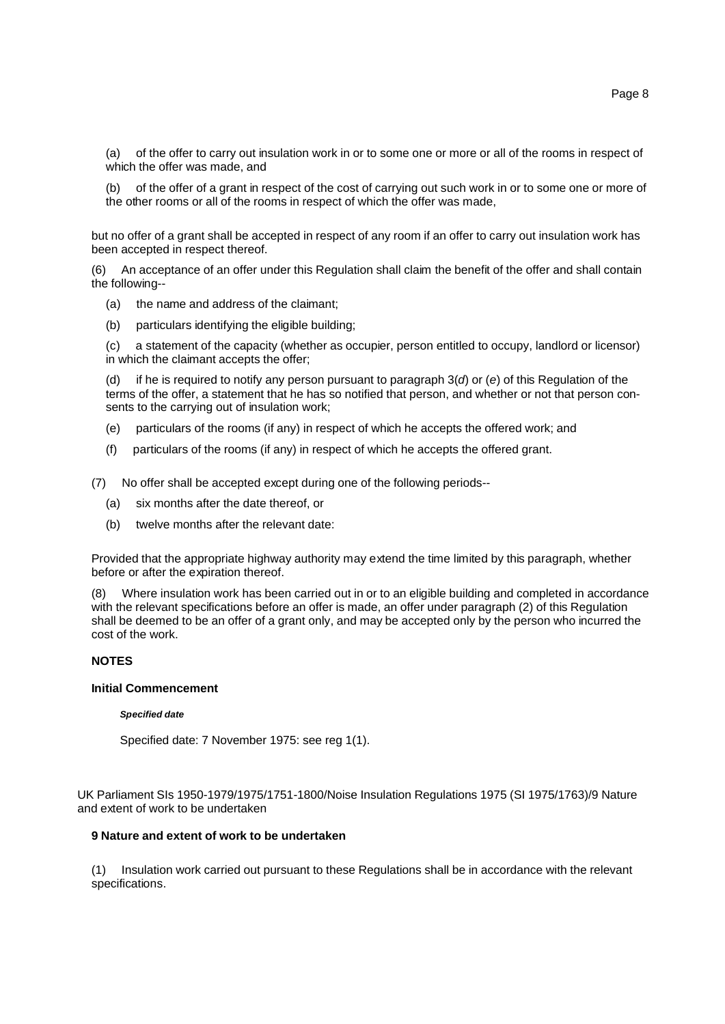(a) of the offer to carry out insulation work in or to some one or more or all of the rooms in respect of which the offer was made, and

(b) of the offer of a grant in respect of the cost of carrying out such work in or to some one or more of the other rooms or all of the rooms in respect of which the offer was made,

but no offer of a grant shall be accepted in respect of any room if an offer to carry out insulation work has been accepted in respect thereof.

(6) An acceptance of an offer under this Regulation shall claim the benefit of the offer and shall contain the following--

- (a) the name and address of the claimant;
- (b) particulars identifying the eligible building;

(c) a statement of the capacity (whether as occupier, person entitled to occupy, landlord or licensor) in which the claimant accepts the offer;

(d) if he is required to notify any person pursuant to paragraph 3(*d*) or (*e*) of this Regulation of the terms of the offer, a statement that he has so notified that person, and whether or not that person consents to the carrying out of insulation work;

- (e) particulars of the rooms (if any) in respect of which he accepts the offered work; and
- (f) particulars of the rooms (if any) in respect of which he accepts the offered grant.

(7) No offer shall be accepted except during one of the following periods--

- (a) six months after the date thereof, or
- (b) twelve months after the relevant date:

Provided that the appropriate highway authority may extend the time limited by this paragraph, whether before or after the expiration thereof.

(8) Where insulation work has been carried out in or to an eligible building and completed in accordance with the relevant specifications before an offer is made, an offer under paragraph (2) of this Regulation shall be deemed to be an offer of a grant only, and may be accepted only by the person who incurred the cost of the work.

# **NOTES**

### **Initial Commencement**

#### *Specified date*

Specified date: 7 November 1975: see reg 1(1).

UK Parliament SIs 1950-1979/1975/1751-1800/Noise Insulation Regulations 1975 (SI 1975/1763)/9 Nature and extent of work to be undertaken

### **9 Nature and extent of work to be undertaken**

(1) Insulation work carried out pursuant to these Regulations shall be in accordance with the relevant specifications.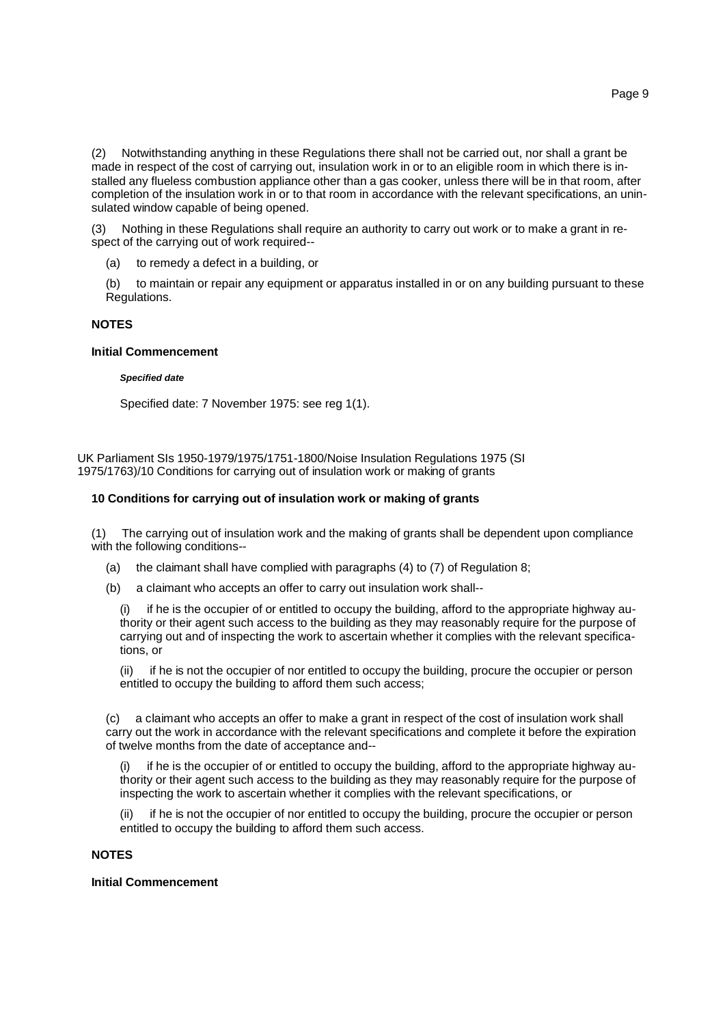(2) Notwithstanding anything in these Regulations there shall not be carried out, nor shall a grant be made in respect of the cost of carrying out, insulation work in or to an eligible room in which there is installed any flueless combustion appliance other than a gas cooker, unless there will be in that room, after completion of the insulation work in or to that room in accordance with the relevant specifications, an uninsulated window capable of being opened.

Nothing in these Regulations shall require an authority to carry out work or to make a grant in respect of the carrying out of work required--

(a) to remedy a defect in a building, or

(b) to maintain or repair any equipment or apparatus installed in or on any building pursuant to these Regulations.

# **NOTES**

#### **Initial Commencement**

#### *Specified date*

Specified date: 7 November 1975: see reg 1(1).

UK Parliament SIs 1950-1979/1975/1751-1800/Noise Insulation Regulations 1975 (SI 1975/1763)/10 Conditions for carrying out of insulation work or making of grants

### **10 Conditions for carrying out of insulation work or making of grants**

(1) The carrying out of insulation work and the making of grants shall be dependent upon compliance with the following conditions--

- (a) the claimant shall have complied with paragraphs (4) to (7) of Regulation 8;
- (b) a claimant who accepts an offer to carry out insulation work shall--

(i) if he is the occupier of or entitled to occupy the building, afford to the appropriate highway authority or their agent such access to the building as they may reasonably require for the purpose of carrying out and of inspecting the work to ascertain whether it complies with the relevant specifications, or

(ii) if he is not the occupier of nor entitled to occupy the building, procure the occupier or person entitled to occupy the building to afford them such access;

(c) a claimant who accepts an offer to make a grant in respect of the cost of insulation work shall carry out the work in accordance with the relevant specifications and complete it before the expiration of twelve months from the date of acceptance and--

if he is the occupier of or entitled to occupy the building, afford to the appropriate highway authority or their agent such access to the building as they may reasonably require for the purpose of inspecting the work to ascertain whether it complies with the relevant specifications, or

if he is not the occupier of nor entitled to occupy the building, procure the occupier or person entitled to occupy the building to afford them such access.

# **NOTES**

# **Initial Commencement**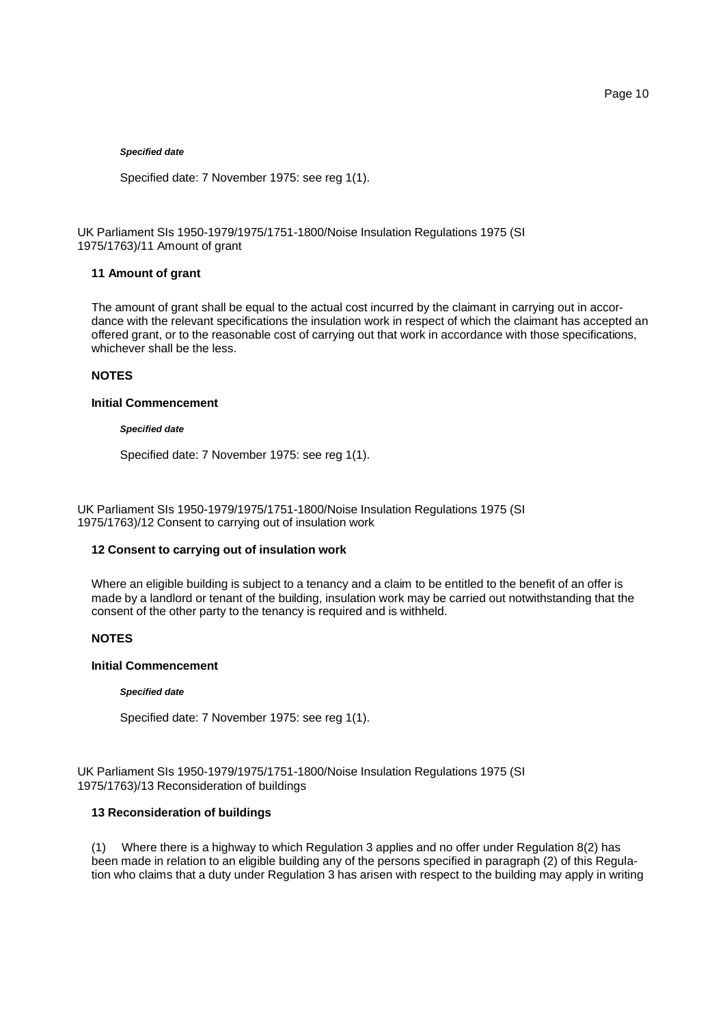### *Specified date*

Specified date: 7 November 1975: see reg 1(1).

UK Parliament SIs 1950-1979/1975/1751-1800/Noise Insulation Regulations 1975 (SI 1975/1763)/11 Amount of grant

# **11 Amount of grant**

The amount of grant shall be equal to the actual cost incurred by the claimant in carrying out in accordance with the relevant specifications the insulation work in respect of which the claimant has accepted an offered grant, or to the reasonable cost of carrying out that work in accordance with those specifications, whichever shall be the less.

# **NOTES**

### **Initial Commencement**

#### *Specified date*

Specified date: 7 November 1975: see reg 1(1).

UK Parliament SIs 1950-1979/1975/1751-1800/Noise Insulation Regulations 1975 (SI 1975/1763)/12 Consent to carrying out of insulation work

### **12 Consent to carrying out of insulation work**

Where an eligible building is subject to a tenancy and a claim to be entitled to the benefit of an offer is made by a landlord or tenant of the building, insulation work may be carried out notwithstanding that the consent of the other party to the tenancy is required and is withheld.

#### **NOTES**

### **Initial Commencement**

#### *Specified date*

Specified date: 7 November 1975: see reg 1(1).

UK Parliament SIs 1950-1979/1975/1751-1800/Noise Insulation Regulations 1975 (SI 1975/1763)/13 Reconsideration of buildings

# **13 Reconsideration of buildings**

(1) Where there is a highway to which Regulation 3 applies and no offer under Regulation 8(2) has been made in relation to an eligible building any of the persons specified in paragraph (2) of this Regulation who claims that a duty under Regulation 3 has arisen with respect to the building may apply in writing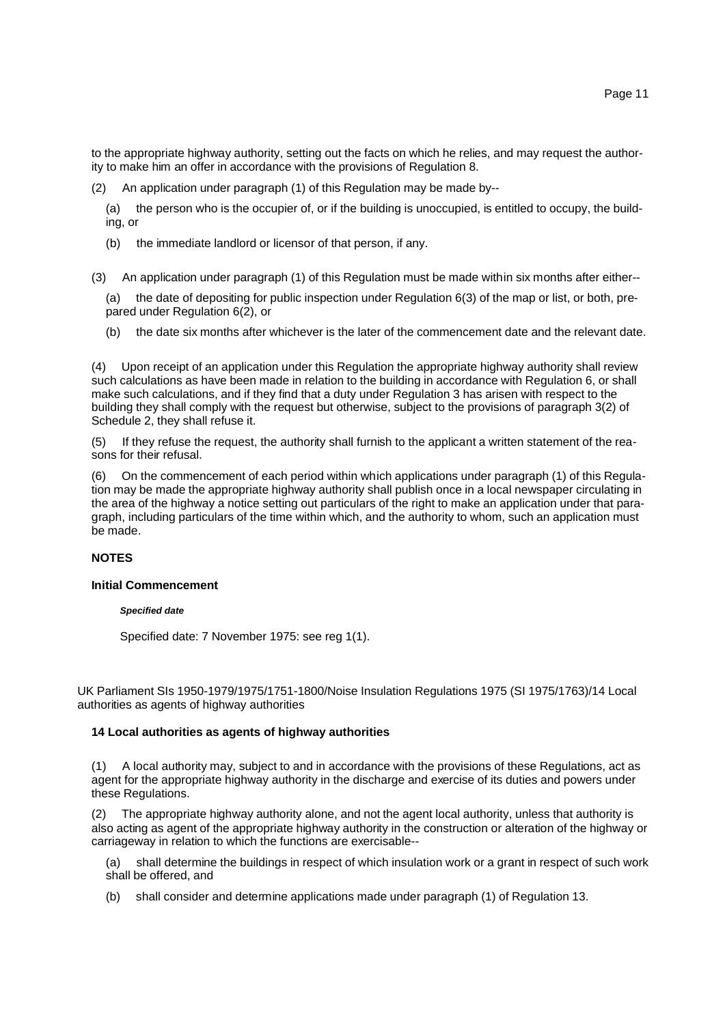to the appropriate highway authority, setting out the facts on which he relies, and may request the authority to make him an offer in accordance with the provisions of Regulation 8.

(2) An application under paragraph (1) of this Regulation may be made by--

(a) the person who is the occupier of, or if the building is unoccupied, is entitled to occupy, the building, or

(b) the immediate landlord or licensor of that person, if any.

(3) An application under paragraph (1) of this Regulation must be made within six months after either--

(a) the date of depositing for public inspection under Regulation 6(3) of the map or list, or both, prepared under Regulation 6(2), or

(b) the date six months after whichever is the later of the commencement date and the relevant date.

(4) Upon receipt of an application under this Regulation the appropriate highway authority shall review such calculations as have been made in relation to the building in accordance with Regulation 6, or shall make such calculations, and if they find that a duty under Regulation 3 has arisen with respect to the building they shall comply with the request but otherwise, subject to the provisions of paragraph 3(2) of Schedule 2, they shall refuse it.

(5) If they refuse the request, the authority shall furnish to the applicant a written statement of the reasons for their refusal.

(6) On the commencement of each period within which applications under paragraph (1) of this Regulation may be made the appropriate highway authority shall publish once in a local newspaper circulating in the area of the highway a notice setting out particulars of the right to make an application under that paragraph, including particulars of the time within which, and the authority to whom, such an application must be made.

# **NOTES**

### **Initial Commencement**

#### *Specified date*

Specified date: 7 November 1975: see reg 1(1).

UK Parliament SIs 1950-1979/1975/1751-1800/Noise Insulation Regulations 1975 (SI 1975/1763)/14 Local authorities as agents of highway authorities

### **14 Local authorities as agents of highway authorities**

(1) A local authority may, subject to and in accordance with the provisions of these Regulations, act as agent for the appropriate highway authority in the discharge and exercise of its duties and powers under these Regulations.

(2) The appropriate highway authority alone, and not the agent local authority, unless that authority is also acting as agent of the appropriate highway authority in the construction or alteration of the highway or carriageway in relation to which the functions are exercisable--

(a) shall determine the buildings in respect of which insulation work or a grant in respect of such work shall be offered, and

(b) shall consider and determine applications made under paragraph (1) of Regulation 13.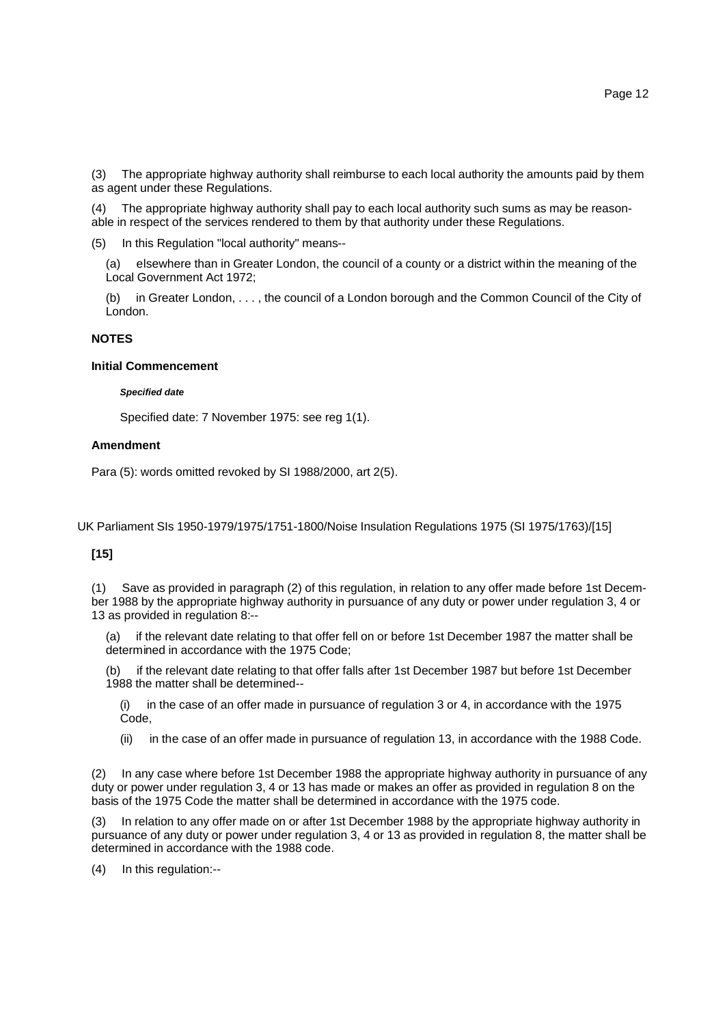(3) The appropriate highway authority shall reimburse to each local authority the amounts paid by them as agent under these Regulations.

(4) The appropriate highway authority shall pay to each local authority such sums as may be reasonable in respect of the services rendered to them by that authority under these Regulations.

(5) In this Regulation "local authority" means--

(a) elsewhere than in Greater London, the council of a county or a district within the meaning of the Local Government Act 1972;

(b) in Greater London, . . . , the council of a London borough and the Common Council of the City of London.

# **NOTES**

### **Initial Commencement**

### *Specified date*

Specified date: 7 November 1975: see reg 1(1).

# **Amendment**

Para (5): words omitted revoked by SI 1988/2000, art 2(5).

UK Parliament SIs 1950-1979/1975/1751-1800/Noise Insulation Regulations 1975 (SI 1975/1763)/[15]

# **[15]**

(1) Save as provided in paragraph (2) of this regulation, in relation to any offer made before 1st December 1988 by the appropriate highway authority in pursuance of any duty or power under regulation 3, 4 or 13 as provided in regulation 8:--

(a) if the relevant date relating to that offer fell on or before 1st December 1987 the matter shall be determined in accordance with the 1975 Code;

(b) if the relevant date relating to that offer falls after 1st December 1987 but before 1st December 1988 the matter shall be determined--

in the case of an offer made in pursuance of regulation 3 or 4, in accordance with the 1975 Code,

(ii) in the case of an offer made in pursuance of regulation 13, in accordance with the 1988 Code.

(2) In any case where before 1st December 1988 the appropriate highway authority in pursuance of any duty or power under regulation 3, 4 or 13 has made or makes an offer as provided in regulation 8 on the basis of the 1975 Code the matter shall be determined in accordance with the 1975 code.

In relation to any offer made on or after 1st December 1988 by the appropriate highway authority in pursuance of any duty or power under regulation 3, 4 or 13 as provided in regulation 8, the matter shall be determined in accordance with the 1988 code.

(4) In this regulation:--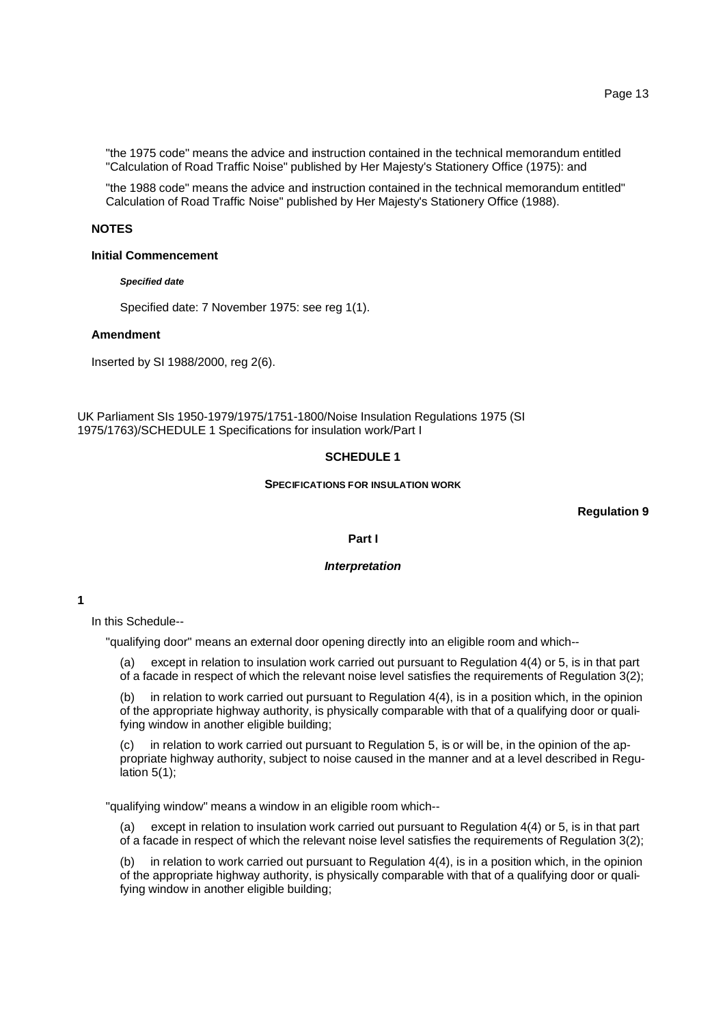"the 1975 code" means the advice and instruction contained in the technical memorandum entitled "Calculation of Road Traffic Noise" published by Her Majesty's Stationery Office (1975): and

"the 1988 code" means the advice and instruction contained in the technical memorandum entitled" Calculation of Road Traffic Noise" published by Her Majesty's Stationery Office (1988).

### **NOTES**

#### **Initial Commencement**

#### *Specified date*

Specified date: 7 November 1975: see reg 1(1).

### **Amendment**

Inserted by SI 1988/2000, reg 2(6).

UK Parliament SIs 1950-1979/1975/1751-1800/Noise Insulation Regulations 1975 (SI 1975/1763)/SCHEDULE 1 Specifications for insulation work/Part I

# **SCHEDULE 1**

### **SPECIFICATIONS FOR INSULATION WORK**

**Regulation 9**

#### **Part I**

#### *Interpretation*

**1**

In this Schedule--

"qualifying door" means an external door opening directly into an eligible room and which--

(a) except in relation to insulation work carried out pursuant to Regulation 4(4) or 5, is in that part of a facade in respect of which the relevant noise level satisfies the requirements of Regulation 3(2);

(b) in relation to work carried out pursuant to Regulation 4(4), is in a position which, in the opinion of the appropriate highway authority, is physically comparable with that of a qualifying door or qualifying window in another eligible building;

(c) in relation to work carried out pursuant to Regulation 5, is or will be, in the opinion of the appropriate highway authority, subject to noise caused in the manner and at a level described in Regulation 5(1);

"qualifying window" means a window in an eligible room which--

(a) except in relation to insulation work carried out pursuant to Regulation 4(4) or 5, is in that part of a facade in respect of which the relevant noise level satisfies the requirements of Regulation 3(2);

(b) in relation to work carried out pursuant to Regulation 4(4), is in a position which, in the opinion of the appropriate highway authority, is physically comparable with that of a qualifying door or qualifying window in another eligible building;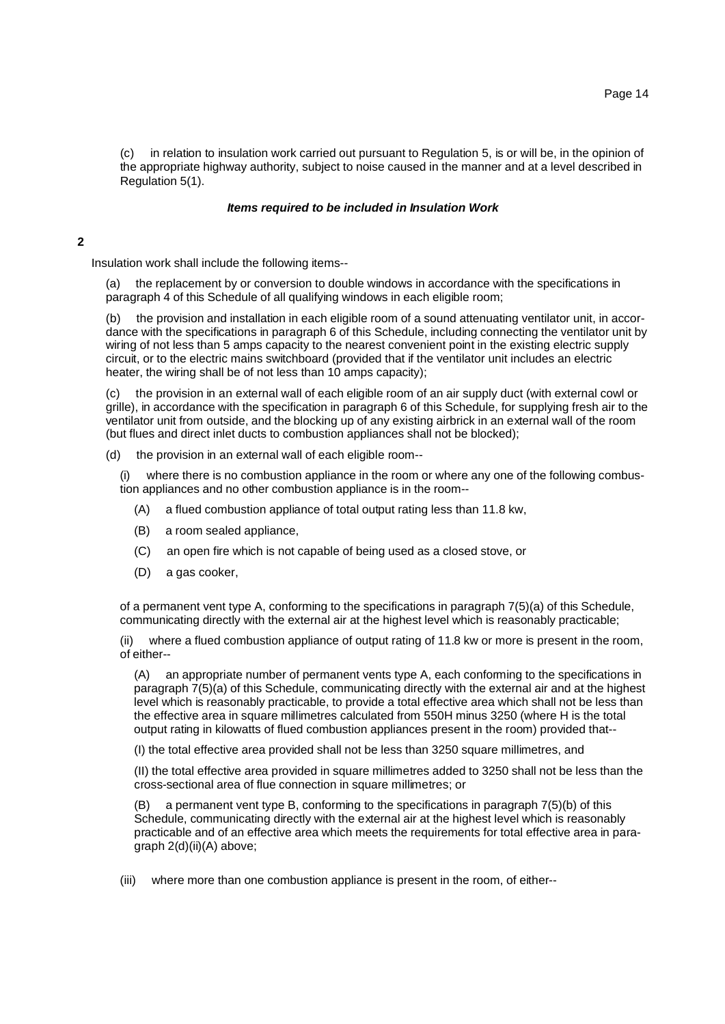(c) in relation to insulation work carried out pursuant to Regulation 5, is or will be, in the opinion of the appropriate highway authority, subject to noise caused in the manner and at a level described in Regulation 5(1).

### *Items required to be included in Insulation Work*

# **2**

Insulation work shall include the following items--

(a) the replacement by or conversion to double windows in accordance with the specifications in paragraph 4 of this Schedule of all qualifying windows in each eligible room;

(b) the provision and installation in each eligible room of a sound attenuating ventilator unit, in accordance with the specifications in paragraph 6 of this Schedule, including connecting the ventilator unit by wiring of not less than 5 amps capacity to the nearest convenient point in the existing electric supply circuit, or to the electric mains switchboard (provided that if the ventilator unit includes an electric heater, the wiring shall be of not less than 10 amps capacity);

(c) the provision in an external wall of each eligible room of an air supply duct (with external cowl or grille), in accordance with the specification in paragraph 6 of this Schedule, for supplying fresh air to the ventilator unit from outside, and the blocking up of any existing airbrick in an external wall of the room (but flues and direct inlet ducts to combustion appliances shall not be blocked);

(d) the provision in an external wall of each eligible room--

(i) where there is no combustion appliance in the room or where any one of the following combustion appliances and no other combustion appliance is in the room--

- (A) a flued combustion appliance of total output rating less than 11.8 kw,
- (B) a room sealed appliance,
- (C) an open fire which is not capable of being used as a closed stove, or
- (D) a gas cooker,

of a permanent vent type A, conforming to the specifications in paragraph 7(5)(a) of this Schedule, communicating directly with the external air at the highest level which is reasonably practicable;

(ii) where a flued combustion appliance of output rating of 11.8 kw or more is present in the room, of either--

(A) an appropriate number of permanent vents type A, each conforming to the specifications in paragraph 7(5)(a) of this Schedule, communicating directly with the external air and at the highest level which is reasonably practicable, to provide a total effective area which shall not be less than the effective area in square millimetres calculated from 550H minus 3250 (where H is the total output rating in kilowatts of flued combustion appliances present in the room) provided that--

(I) the total effective area provided shall not be less than 3250 square millimetres, and

(II) the total effective area provided in square millimetres added to 3250 shall not be less than the cross-sectional area of flue connection in square millimetres; or

a permanent vent type B, conforming to the specifications in paragraph  $7(5)(b)$  of this Schedule, communicating directly with the external air at the highest level which is reasonably practicable and of an effective area which meets the requirements for total effective area in paragraph 2(d)(ii)(A) above;

(iii) where more than one combustion appliance is present in the room, of either--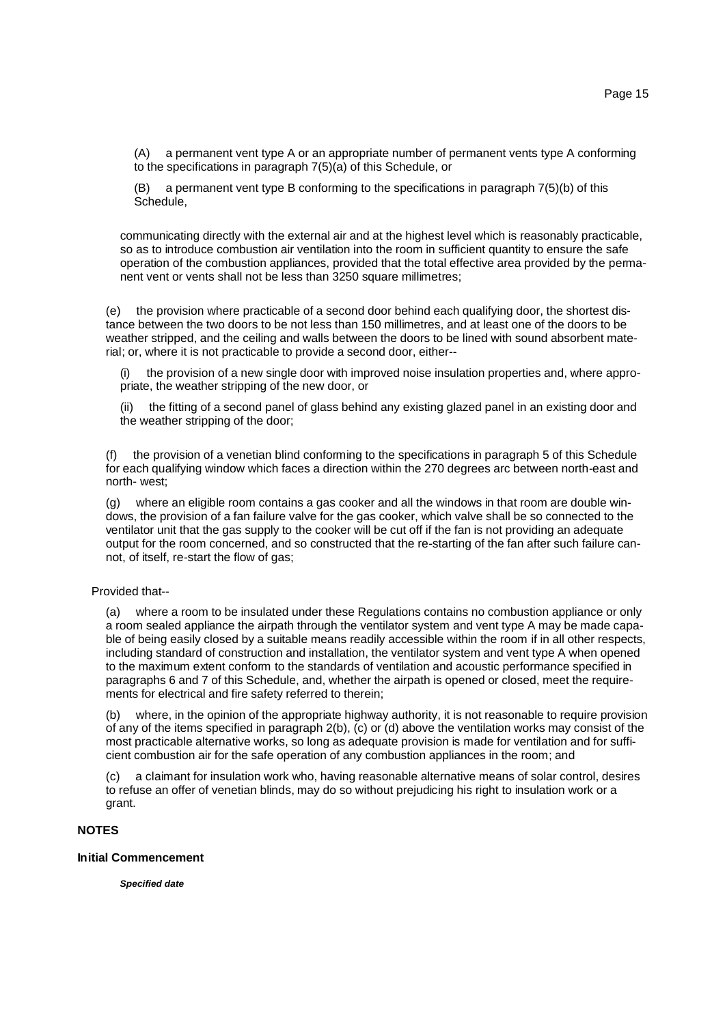(A) a permanent vent type A or an appropriate number of permanent vents type A conforming to the specifications in paragraph 7(5)(a) of this Schedule, or

(B) a permanent vent type B conforming to the specifications in paragraph 7(5)(b) of this Schedule,

communicating directly with the external air and at the highest level which is reasonably practicable, so as to introduce combustion air ventilation into the room in sufficient quantity to ensure the safe operation of the combustion appliances, provided that the total effective area provided by the permanent vent or vents shall not be less than 3250 square millimetres;

(e) the provision where practicable of a second door behind each qualifying door, the shortest distance between the two doors to be not less than 150 millimetres, and at least one of the doors to be weather stripped, and the ceiling and walls between the doors to be lined with sound absorbent material; or, where it is not practicable to provide a second door, either--

the provision of a new single door with improved noise insulation properties and, where appropriate, the weather stripping of the new door, or

(ii) the fitting of a second panel of glass behind any existing glazed panel in an existing door and the weather stripping of the door;

(f) the provision of a venetian blind conforming to the specifications in paragraph 5 of this Schedule for each qualifying window which faces a direction within the 270 degrees arc between north-east and north- west;

(g) where an eligible room contains a gas cooker and all the windows in that room are double windows, the provision of a fan failure valve for the gas cooker, which valve shall be so connected to the ventilator unit that the gas supply to the cooker will be cut off if the fan is not providing an adequate output for the room concerned, and so constructed that the re-starting of the fan after such failure cannot, of itself, re-start the flow of gas;

Provided that--

(a) where a room to be insulated under these Regulations contains no combustion appliance or only a room sealed appliance the airpath through the ventilator system and vent type A may be made capable of being easily closed by a suitable means readily accessible within the room if in all other respects, including standard of construction and installation, the ventilator system and vent type A when opened to the maximum extent conform to the standards of ventilation and acoustic performance specified in paragraphs 6 and 7 of this Schedule, and, whether the airpath is opened or closed, meet the requirements for electrical and fire safety referred to therein;

(b) where, in the opinion of the appropriate highway authority, it is not reasonable to require provision of any of the items specified in paragraph 2(b), (c) or (d) above the ventilation works may consist of the most practicable alternative works, so long as adequate provision is made for ventilation and for sufficient combustion air for the safe operation of any combustion appliances in the room; and

(c) a claimant for insulation work who, having reasonable alternative means of solar control, desires to refuse an offer of venetian blinds, may do so without prejudicing his right to insulation work or a grant.

# **NOTES**

### **Initial Commencement**

*Specified date*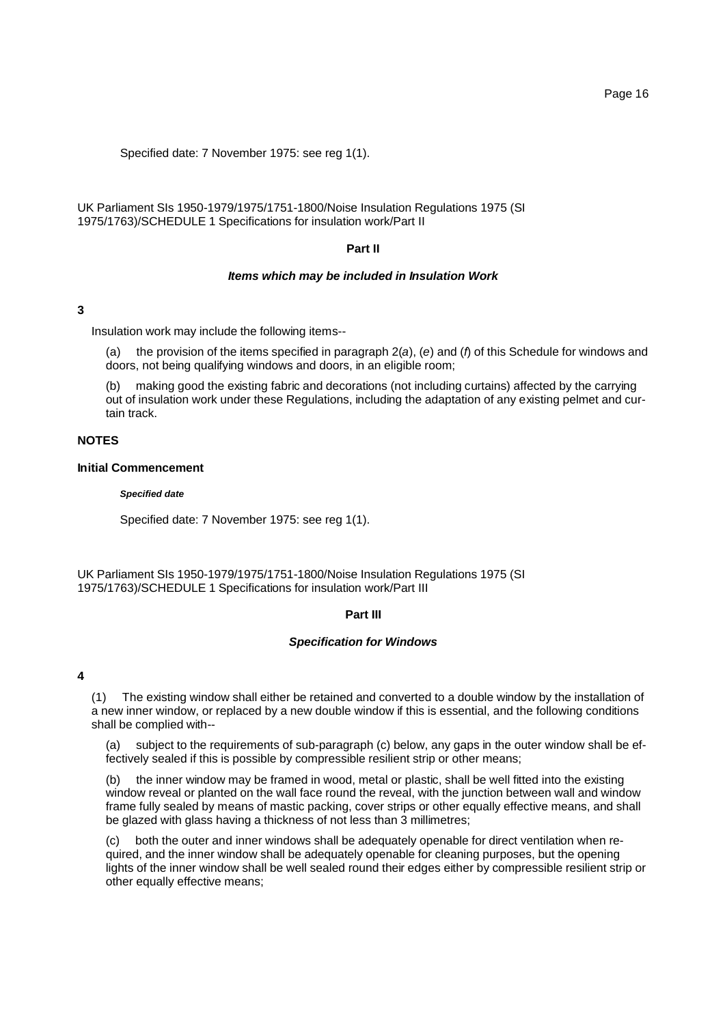Specified date: 7 November 1975: see reg 1(1).

UK Parliament SIs 1950-1979/1975/1751-1800/Noise Insulation Regulations 1975 (SI 1975/1763)/SCHEDULE 1 Specifications for insulation work/Part II

### **Part II**

# *Items which may be included in Insulation Work*

#### **3**

Insulation work may include the following items--

the provision of the items specified in paragraph 2(*a*), (*e*) and (*f*) of this Schedule for windows and doors, not being qualifying windows and doors, in an eligible room;

making good the existing fabric and decorations (not including curtains) affected by the carrying out of insulation work under these Regulations, including the adaptation of any existing pelmet and curtain track.

### **NOTES**

## **Initial Commencement**

#### *Specified date*

Specified date: 7 November 1975: see reg 1(1).

UK Parliament SIs 1950-1979/1975/1751-1800/Noise Insulation Regulations 1975 (SI 1975/1763)/SCHEDULE 1 Specifications for insulation work/Part III

#### **Part III**

#### *Specification for Windows*

#### **4**

(1) The existing window shall either be retained and converted to a double window by the installation of a new inner window, or replaced by a new double window if this is essential, and the following conditions shall be complied with--

(a) subject to the requirements of sub-paragraph (c) below, any gaps in the outer window shall be effectively sealed if this is possible by compressible resilient strip or other means;

(b) the inner window may be framed in wood, metal or plastic, shall be well fitted into the existing window reveal or planted on the wall face round the reveal, with the junction between wall and window frame fully sealed by means of mastic packing, cover strips or other equally effective means, and shall be glazed with glass having a thickness of not less than 3 millimetres;

(c) both the outer and inner windows shall be adequately openable for direct ventilation when required, and the inner window shall be adequately openable for cleaning purposes, but the opening lights of the inner window shall be well sealed round their edges either by compressible resilient strip or other equally effective means;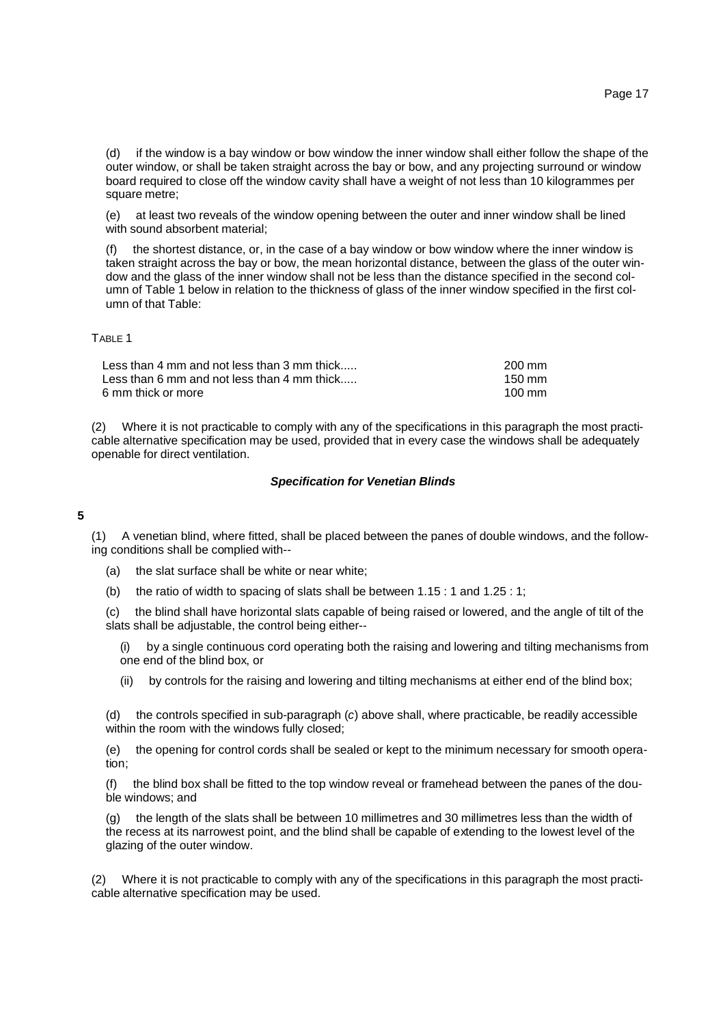(d) if the window is a bay window or bow window the inner window shall either follow the shape of the outer window, or shall be taken straight across the bay or bow, and any projecting surround or window board required to close off the window cavity shall have a weight of not less than 10 kilogrammes per square metre;

(e) at least two reveals of the window opening between the outer and inner window shall be lined with sound absorbent material:

the shortest distance, or, in the case of a bay window or bow window where the inner window is taken straight across the bay or bow, the mean horizontal distance, between the glass of the outer window and the glass of the inner window shall not be less than the distance specified in the second column of Table 1 below in relation to the thickness of glass of the inner window specified in the first column of that Table:

### TABLE 1

| Less than 4 mm and not less than 3 mm thick | 200 mm           |
|---------------------------------------------|------------------|
| Less than 6 mm and not less than 4 mm thick | $150 \text{ mm}$ |
| 6 mm thick or more                          | $100 \text{ mm}$ |

(2) Where it is not practicable to comply with any of the specifications in this paragraph the most practicable alternative specification may be used, provided that in every case the windows shall be adequately openable for direct ventilation.

# *Specification for Venetian Blinds*

# **5**

(1) A venetian blind, where fitted, shall be placed between the panes of double windows, and the following conditions shall be complied with--

- (a) the slat surface shall be white or near white;
- (b) the ratio of width to spacing of slats shall be between 1.15 : 1 and 1.25 : 1;

(c) the blind shall have horizontal slats capable of being raised or lowered, and the angle of tilt of the slats shall be adjustable, the control being either--

(i) by a single continuous cord operating both the raising and lowering and tilting mechanisms from one end of the blind box, or

(ii) by controls for the raising and lowering and tilting mechanisms at either end of the blind box;

(d) the controls specified in sub-paragraph (*c*) above shall, where practicable, be readily accessible within the room with the windows fully closed;

(e) the opening for control cords shall be sealed or kept to the minimum necessary for smooth operation;

(f) the blind box shall be fitted to the top window reveal or framehead between the panes of the double windows; and

(g) the length of the slats shall be between 10 millimetres and 30 millimetres less than the width of the recess at its narrowest point, and the blind shall be capable of extending to the lowest level of the glazing of the outer window.

(2) Where it is not practicable to comply with any of the specifications in this paragraph the most practicable alternative specification may be used.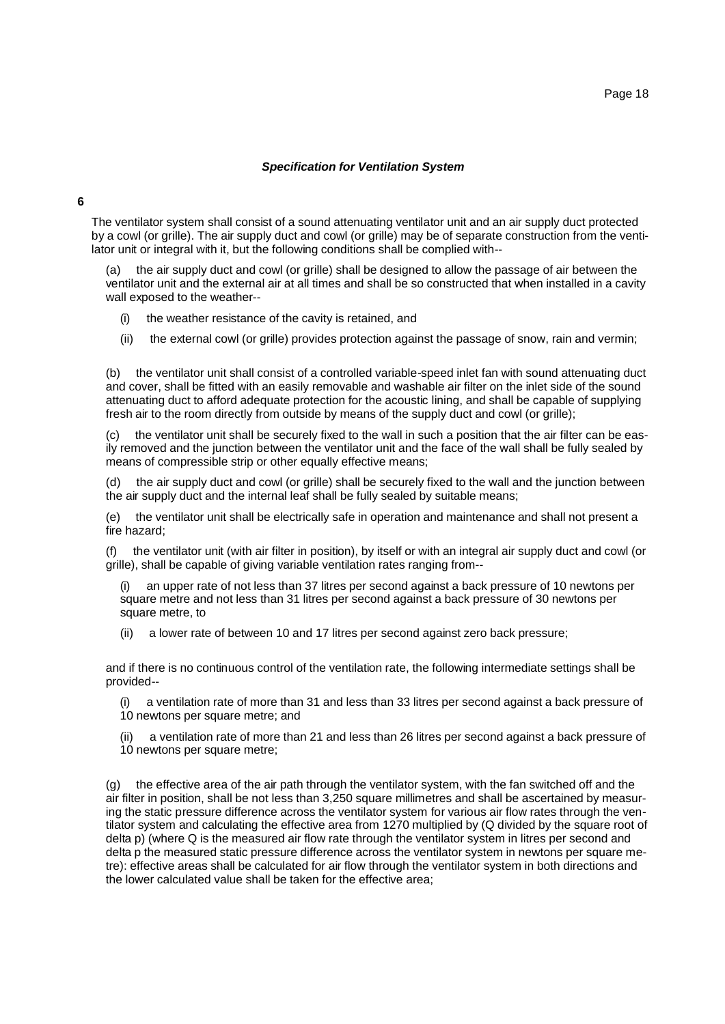#### Page 18

### *Specification for Ventilation System*

**6**

The ventilator system shall consist of a sound attenuating ventilator unit and an air supply duct protected by a cowl (or grille). The air supply duct and cowl (or grille) may be of separate construction from the ventilator unit or integral with it, but the following conditions shall be complied with--

the air supply duct and cowl (or grille) shall be designed to allow the passage of air between the ventilator unit and the external air at all times and shall be so constructed that when installed in a cavity wall exposed to the weather--

(i) the weather resistance of the cavity is retained, and

(ii) the external cowl (or grille) provides protection against the passage of snow, rain and vermin;

(b) the ventilator unit shall consist of a controlled variable-speed inlet fan with sound attenuating duct and cover, shall be fitted with an easily removable and washable air filter on the inlet side of the sound attenuating duct to afford adequate protection for the acoustic lining, and shall be capable of supplying fresh air to the room directly from outside by means of the supply duct and cowl (or grille);

(c) the ventilator unit shall be securely fixed to the wall in such a position that the air filter can be easily removed and the junction between the ventilator unit and the face of the wall shall be fully sealed by means of compressible strip or other equally effective means;

(d) the air supply duct and cowl (or grille) shall be securely fixed to the wall and the junction between the air supply duct and the internal leaf shall be fully sealed by suitable means;

(e) the ventilator unit shall be electrically safe in operation and maintenance and shall not present a fire hazard;

(f) the ventilator unit (with air filter in position), by itself or with an integral air supply duct and cowl (or grille), shall be capable of giving variable ventilation rates ranging from--

an upper rate of not less than 37 litres per second against a back pressure of 10 newtons per square metre and not less than 31 litres per second against a back pressure of 30 newtons per square metre, to

(ii) a lower rate of between 10 and 17 litres per second against zero back pressure;

and if there is no continuous control of the ventilation rate, the following intermediate settings shall be provided--

(i) a ventilation rate of more than 31 and less than 33 litres per second against a back pressure of 10 newtons per square metre; and

a ventilation rate of more than 21 and less than 26 litres per second against a back pressure of 10 newtons per square metre;

(g) the effective area of the air path through the ventilator system, with the fan switched off and the air filter in position, shall be not less than 3,250 square millimetres and shall be ascertained by measuring the static pressure difference across the ventilator system for various air flow rates through the ventilator system and calculating the effective area from 1270 multiplied by (Q divided by the square root of delta p) (where Q is the measured air flow rate through the ventilator system in litres per second and delta p the measured static pressure difference across the ventilator system in newtons per square metre): effective areas shall be calculated for air flow through the ventilator system in both directions and the lower calculated value shall be taken for the effective area;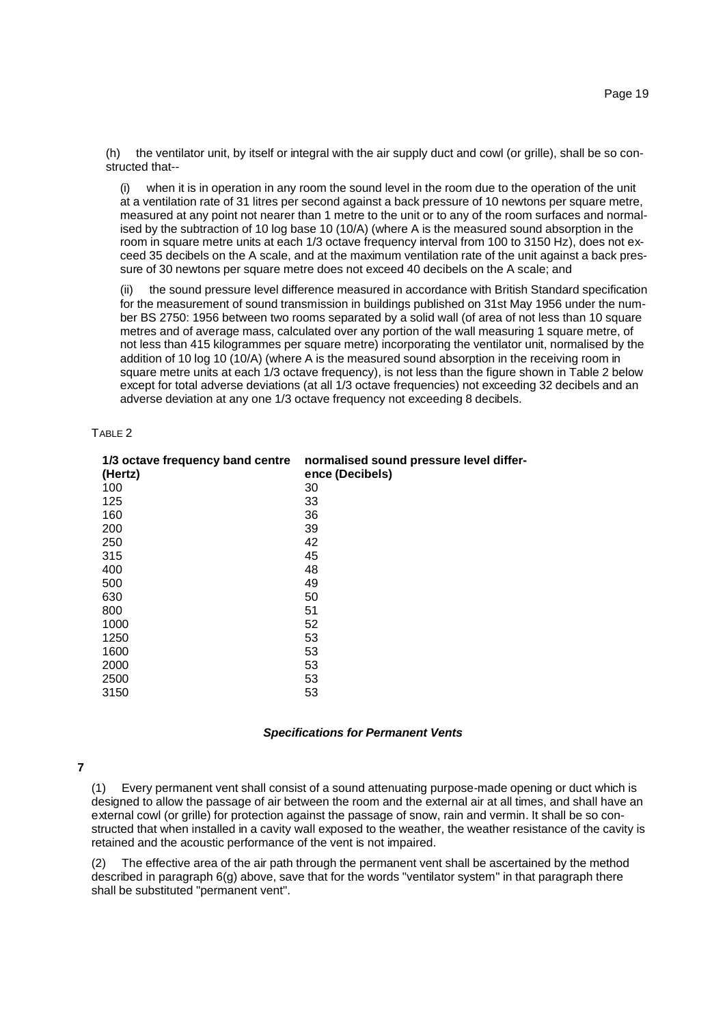(h) the ventilator unit, by itself or integral with the air supply duct and cowl (or grille), shall be so constructed that--

when it is in operation in any room the sound level in the room due to the operation of the unit at a ventilation rate of 31 litres per second against a back pressure of 10 newtons per square metre, measured at any point not nearer than 1 metre to the unit or to any of the room surfaces and normalised by the subtraction of 10 log base 10 (10/A) (where A is the measured sound absorption in the room in square metre units at each 1/3 octave frequency interval from 100 to 3150 Hz), does not exceed 35 decibels on the A scale, and at the maximum ventilation rate of the unit against a back pressure of 30 newtons per square metre does not exceed 40 decibels on the A scale; and

(ii) the sound pressure level difference measured in accordance with British Standard specification for the measurement of sound transmission in buildings published on 31st May 1956 under the number BS 2750: 1956 between two rooms separated by a solid wall (of area of not less than 10 square metres and of average mass, calculated over any portion of the wall measuring 1 square metre, of not less than 415 kilogrammes per square metre) incorporating the ventilator unit, normalised by the addition of 10 log 10 (10/A) (where A is the measured sound absorption in the receiving room in square metre units at each 1/3 octave frequency), is not less than the figure shown in Table 2 below except for total adverse deviations (at all 1/3 octave frequencies) not exceeding 32 decibels and an adverse deviation at any one 1/3 octave frequency not exceeding 8 decibels.

#### TABLE 2

| 1/3 octave frequency band centre<br>(Hertz) | normalised sound pressure level differ-<br>ence (Decibels) |
|---------------------------------------------|------------------------------------------------------------|
| 100                                         | 30                                                         |
| 125                                         | 33                                                         |
| 160                                         | 36                                                         |
| 200                                         | 39                                                         |
| 250                                         | 42                                                         |
| 315                                         | 45                                                         |
| 400                                         | 48                                                         |
| 500                                         | 49                                                         |
| 630                                         | 50                                                         |
| 800                                         | 51                                                         |
| 1000                                        | 52                                                         |
| 1250                                        | 53                                                         |
| 1600                                        | 53                                                         |
| 2000                                        | 53                                                         |
| 2500                                        | 53                                                         |
| 3150                                        | 53                                                         |

#### *Specifications for Permanent Vents*

**7**

(1) Every permanent vent shall consist of a sound attenuating purpose-made opening or duct which is designed to allow the passage of air between the room and the external air at all times, and shall have an external cowl (or grille) for protection against the passage of snow, rain and vermin. It shall be so constructed that when installed in a cavity wall exposed to the weather, the weather resistance of the cavity is retained and the acoustic performance of the vent is not impaired.

The effective area of the air path through the permanent vent shall be ascertained by the method described in paragraph 6(g) above, save that for the words "ventilator system" in that paragraph there shall be substituted "permanent vent".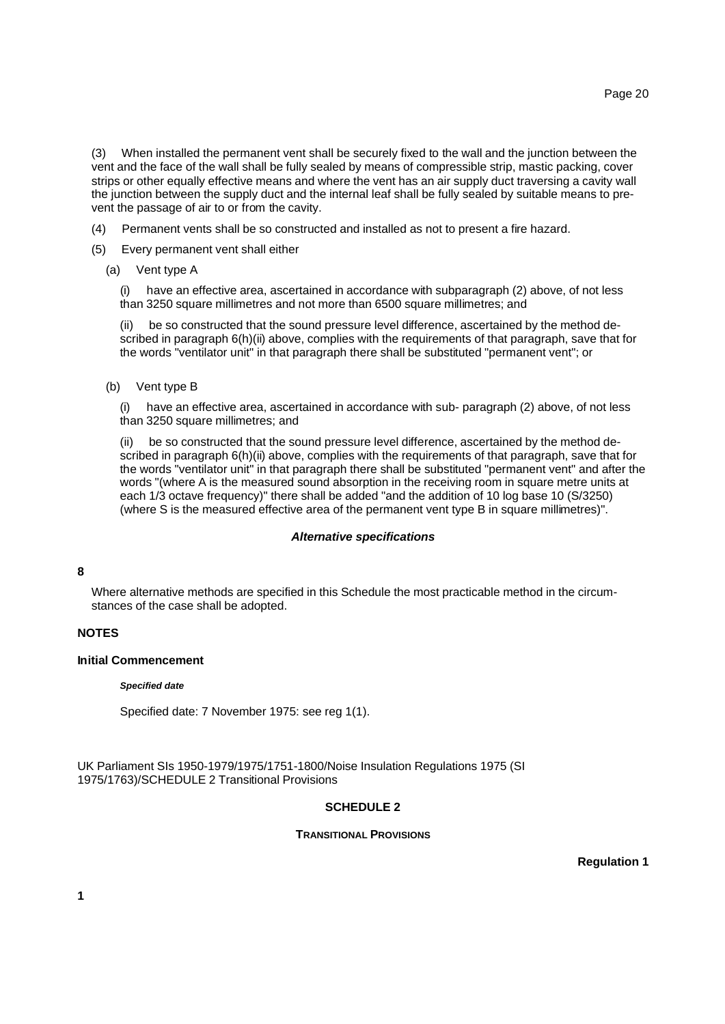(3) When installed the permanent vent shall be securely fixed to the wall and the junction between the vent and the face of the wall shall be fully sealed by means of compressible strip, mastic packing, cover strips or other equally effective means and where the vent has an air supply duct traversing a cavity wall the junction between the supply duct and the internal leaf shall be fully sealed by suitable means to prevent the passage of air to or from the cavity.

- (4) Permanent vents shall be so constructed and installed as not to present a fire hazard.
- (5) Every permanent vent shall either
	- (a) Vent type A

(i) have an effective area, ascertained in accordance with subparagraph (2) above, of not less than 3250 square millimetres and not more than 6500 square millimetres; and

(ii) be so constructed that the sound pressure level difference, ascertained by the method described in paragraph 6(h)(ii) above, complies with the requirements of that paragraph, save that for the words "ventilator unit" in that paragraph there shall be substituted "permanent vent"; or

(b) Vent type B

(i) have an effective area, ascertained in accordance with sub- paragraph (2) above, of not less than 3250 square millimetres; and

(ii) be so constructed that the sound pressure level difference, ascertained by the method described in paragraph 6(h)(ii) above, complies with the requirements of that paragraph, save that for the words "ventilator unit" in that paragraph there shall be substituted "permanent vent" and after the words "(where A is the measured sound absorption in the receiving room in square metre units at each 1/3 octave frequency)" there shall be added "and the addition of 10 log base 10 (S/3250) (where S is the measured effective area of the permanent vent type B in square millimetres)".

#### *Alternative specifications*

#### **8**

Where alternative methods are specified in this Schedule the most practicable method in the circumstances of the case shall be adopted.

# **NOTES**

# **Initial Commencement**

#### *Specified date*

Specified date: 7 November 1975: see reg 1(1).

UK Parliament SIs 1950-1979/1975/1751-1800/Noise Insulation Regulations 1975 (SI 1975/1763)/SCHEDULE 2 Transitional Provisions

# **SCHEDULE 2**

# **TRANSITIONAL PROVISIONS**

**Regulation 1**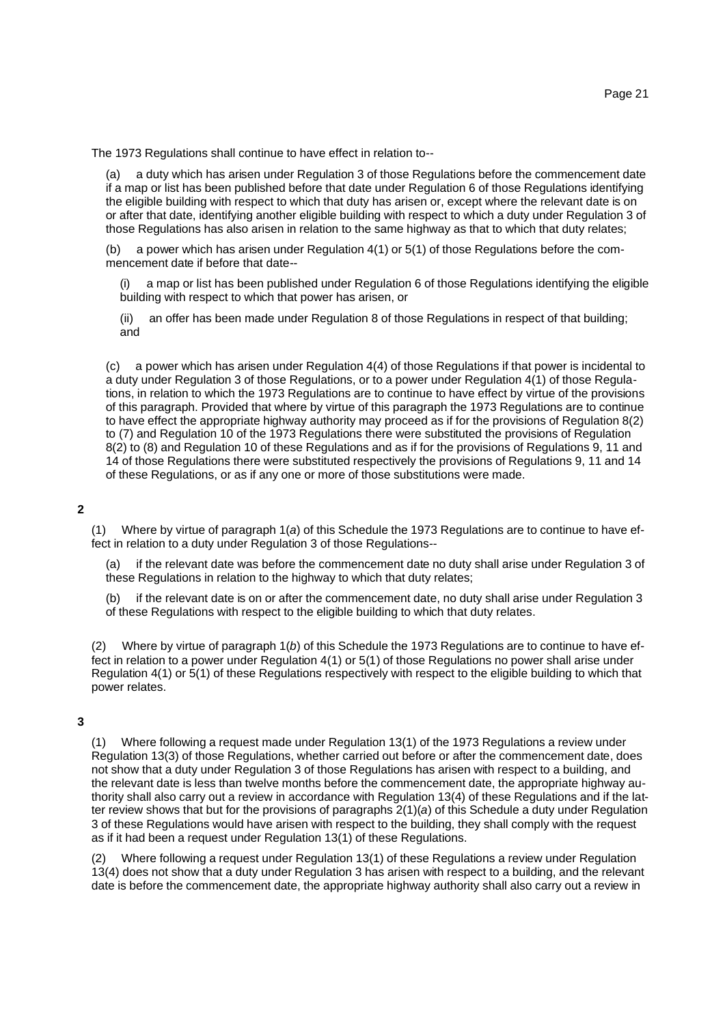The 1973 Regulations shall continue to have effect in relation to--

(a) a duty which has arisen under Regulation 3 of those Regulations before the commencement date if a map or list has been published before that date under Regulation 6 of those Regulations identifying the eligible building with respect to which that duty has arisen or, except where the relevant date is on or after that date, identifying another eligible building with respect to which a duty under Regulation 3 of those Regulations has also arisen in relation to the same highway as that to which that duty relates;

(b) a power which has arisen under Regulation 4(1) or 5(1) of those Regulations before the commencement date if before that date--

a map or list has been published under Regulation 6 of those Regulations identifying the eligible building with respect to which that power has arisen, or

(ii) an offer has been made under Regulation 8 of those Regulations in respect of that building; and

(c) a power which has arisen under Regulation 4(4) of those Regulations if that power is incidental to a duty under Regulation 3 of those Regulations, or to a power under Regulation 4(1) of those Regulations, in relation to which the 1973 Regulations are to continue to have effect by virtue of the provisions of this paragraph. Provided that where by virtue of this paragraph the 1973 Regulations are to continue to have effect the appropriate highway authority may proceed as if for the provisions of Regulation 8(2) to (7) and Regulation 10 of the 1973 Regulations there were substituted the provisions of Regulation 8(2) to (8) and Regulation 10 of these Regulations and as if for the provisions of Regulations 9, 11 and 14 of those Regulations there were substituted respectively the provisions of Regulations 9, 11 and 14 of these Regulations, or as if any one or more of those substitutions were made.

### **2**

(1) Where by virtue of paragraph 1(*a*) of this Schedule the 1973 Regulations are to continue to have effect in relation to a duty under Regulation 3 of those Regulations--

(a) if the relevant date was before the commencement date no duty shall arise under Regulation 3 of these Regulations in relation to the highway to which that duty relates;

(b) if the relevant date is on or after the commencement date, no duty shall arise under Regulation 3 of these Regulations with respect to the eligible building to which that duty relates.

(2) Where by virtue of paragraph 1(*b*) of this Schedule the 1973 Regulations are to continue to have effect in relation to a power under Regulation 4(1) or 5(1) of those Regulations no power shall arise under Regulation 4(1) or 5(1) of these Regulations respectively with respect to the eligible building to which that power relates.

#### **3**

(1) Where following a request made under Regulation 13(1) of the 1973 Regulations a review under Regulation 13(3) of those Regulations, whether carried out before or after the commencement date, does not show that a duty under Regulation 3 of those Regulations has arisen with respect to a building, and the relevant date is less than twelve months before the commencement date, the appropriate highway authority shall also carry out a review in accordance with Regulation 13(4) of these Regulations and if the latter review shows that but for the provisions of paragraphs 2(1)(*a*) of this Schedule a duty under Regulation 3 of these Regulations would have arisen with respect to the building, they shall comply with the request as if it had been a request under Regulation 13(1) of these Regulations.

Where following a request under Regulation 13(1) of these Regulations a review under Regulation 13(4) does not show that a duty under Regulation 3 has arisen with respect to a building, and the relevant date is before the commencement date, the appropriate highway authority shall also carry out a review in